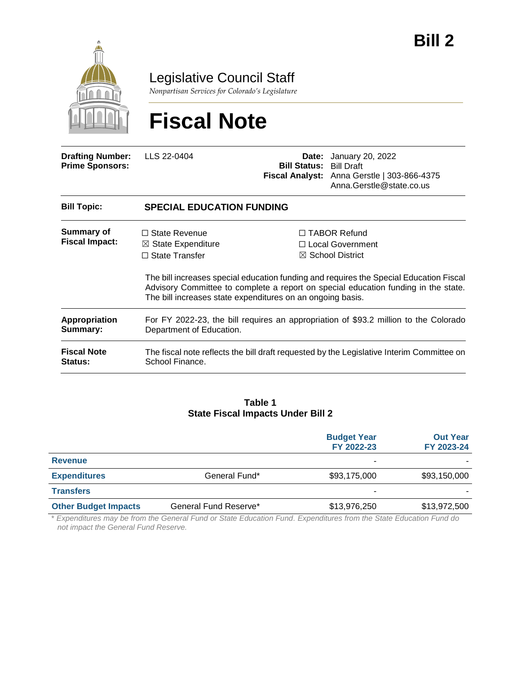

Legislative Council Staff

*Nonpartisan Services for Colorado's Legislature*

# **Fiscal Note**

| <b>Drafting Number:</b><br><b>Prime Sponsors:</b> | LLS 22-0404                                                                                                                                                                                                                                | <b>Bill Status: Bill Draft</b> | <b>Date:</b> January 20, 2022<br>Fiscal Analyst: Anna Gerstle   303-866-4375<br>Anna.Gerstle@state.co.us |  |  |
|---------------------------------------------------|--------------------------------------------------------------------------------------------------------------------------------------------------------------------------------------------------------------------------------------------|--------------------------------|----------------------------------------------------------------------------------------------------------|--|--|
| <b>Bill Topic:</b>                                | <b>SPECIAL EDUCATION FUNDING</b>                                                                                                                                                                                                           |                                |                                                                                                          |  |  |
| Summary of<br><b>Fiscal Impact:</b>               | $\Box$ State Revenue<br>$\boxtimes$ State Expenditure<br>$\Box$ State Transfer                                                                                                                                                             |                                | $\Box$ TABOR Refund<br>□ Local Government<br>$\boxtimes$ School District                                 |  |  |
|                                                   | The bill increases special education funding and requires the Special Education Fiscal<br>Advisory Committee to complete a report on special education funding in the state.<br>The bill increases state expenditures on an ongoing basis. |                                |                                                                                                          |  |  |
| Appropriation<br>Summary:                         | For FY 2022-23, the bill requires an appropriation of \$93.2 million to the Colorado<br>Department of Education.                                                                                                                           |                                |                                                                                                          |  |  |
| <b>Fiscal Note</b><br><b>Status:</b>              | The fiscal note reflects the bill draft requested by the Legislative Interim Committee on<br>School Finance.                                                                                                                               |                                |                                                                                                          |  |  |

#### **Table 1 State Fiscal Impacts Under Bill 2**

|                                                      | <b>Budget Year</b><br>FY 2022-23 | <b>Out Year</b><br>FY 2023-24 |
|------------------------------------------------------|----------------------------------|-------------------------------|
| <b>Revenue</b>                                       | $\overline{\phantom{0}}$         |                               |
| <b>Expenditures</b><br>General Fund*                 | \$93,175,000                     | \$93,150,000                  |
| <b>Transfers</b>                                     | $\overline{\phantom{0}}$         |                               |
| <b>Other Budget Impacts</b><br>General Fund Reserve* | \$13,976,250                     | \$13,972,500                  |

\* *Expenditures may be from the General Fund or State Education Fund. Expenditures from the State Education Fund do not impact the General Fund Reserve.*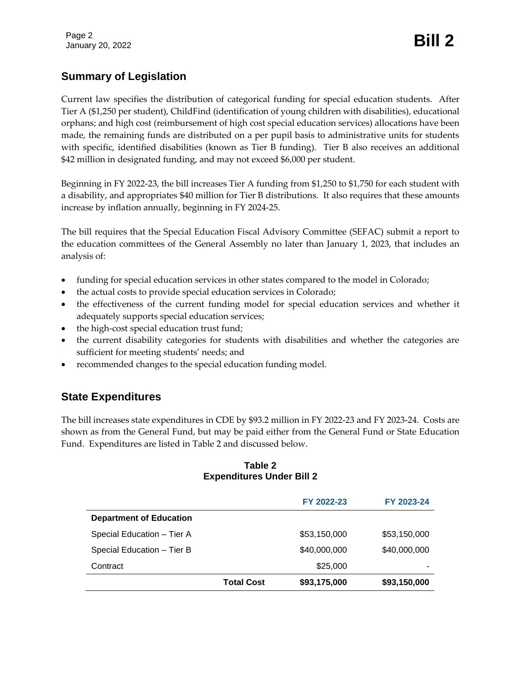## **Summary of Legislation**

Current law specifies the distribution of categorical funding for special education students. After Tier A (\$1,250 per student), ChildFind (identification of young children with disabilities), educational orphans; and high cost (reimbursement of high cost special education services) allocations have been made, the remaining funds are distributed on a per pupil basis to administrative units for students with specific, identified disabilities (known as Tier B funding). Tier B also receives an additional \$42 million in designated funding, and may not exceed \$6,000 per student.

Beginning in FY 2022-23, the bill increases Tier A funding from \$1,250 to \$1,750 for each student with a disability, and appropriates \$40 million for Tier B distributions. It also requires that these amounts increase by inflation annually, beginning in FY 2024-25.

The bill requires that the Special Education Fiscal Advisory Committee (SEFAC) submit a report to the education committees of the General Assembly no later than January 1, 2023, that includes an analysis of:

- funding for special education services in other states compared to the model in Colorado;
- the actual costs to provide special education services in Colorado;
- the effectiveness of the current funding model for special education services and whether it adequately supports special education services;
- the high-cost special education trust fund;
- the current disability categories for students with disabilities and whether the categories are sufficient for meeting students' needs; and
- recommended changes to the special education funding model.

### **State Expenditures**

The bill increases state expenditures in CDE by \$93.2 million in FY 2022-23 and FY 2023-24. Costs are shown as from the General Fund, but may be paid either from the General Fund or State Education Fund. Expenditures are listed in Table 2 and discussed below.

#### **Table 2 Expenditures Under Bill 2**

|                                |                   | FY 2022-23   | FY 2023-24   |
|--------------------------------|-------------------|--------------|--------------|
| <b>Department of Education</b> |                   |              |              |
| Special Education - Tier A     |                   | \$53,150,000 | \$53,150,000 |
| Special Education - Tier B     |                   | \$40,000,000 | \$40,000,000 |
| Contract                       |                   | \$25,000     |              |
|                                | <b>Total Cost</b> | \$93,175,000 | \$93,150,000 |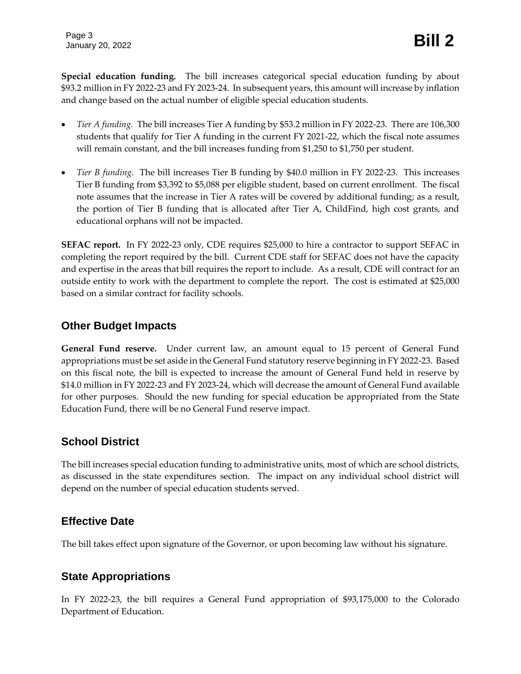**Special education funding.** The bill increases categorical special education funding by about \$93.2 million in FY 2022-23 and FY 2023-24. In subsequent years, this amount will increase by inflation and change based on the actual number of eligible special education students.

- *Tier A funding.* The bill increases Tier A funding by \$53.2 million in FY 2022-23. There are 106,300 students that qualify for Tier A funding in the current FY 2021-22, which the fiscal note assumes will remain constant, and the bill increases funding from \$1,250 to \$1,750 per student.
- *Tier B funding.* The bill increases Tier B funding by \$40.0 million in FY 2022-23. This increases Tier B funding from \$3,392 to \$5,088 per eligible student, based on current enrollment. The fiscal note assumes that the increase in Tier A rates will be covered by additional funding; as a result, the portion of Tier B funding that is allocated after Tier A, ChildFind, high cost grants, and educational orphans will not be impacted.

**SEFAC report.** In FY 2022-23 only, CDE requires \$25,000 to hire a contractor to support SEFAC in completing the report required by the bill. Current CDE staff for SEFAC does not have the capacity and expertise in the areas that bill requires the report to include. As a result, CDE will contract for an outside entity to work with the department to complete the report. The cost is estimated at \$25,000 based on a similar contract for facility schools.

### **Other Budget Impacts**

**General Fund reserve.** Under current law, an amount equal to 15 percent of General Fund appropriations must be set aside in the General Fund statutory reserve beginning in FY 2022-23. Based on this fiscal note, the bill is expected to increase the amount of General Fund held in reserve by \$14.0 million in FY 2022-23 and FY 2023-24, which will decrease the amount of General Fund available for other purposes. Should the new funding for special education be appropriated from the State Education Fund, there will be no General Fund reserve impact.

# **School District**

The bill increases special education funding to administrative units, most of which are school districts, as discussed in the state expenditures section. The impact on any individual school district will depend on the number of special education students served.

### **Effective Date**

The bill takes effect upon signature of the Governor, or upon becoming law without his signature.

# **State Appropriations**

In FY 2022-23, the bill requires a General Fund appropriation of \$93,175,000 to the Colorado Department of Education.